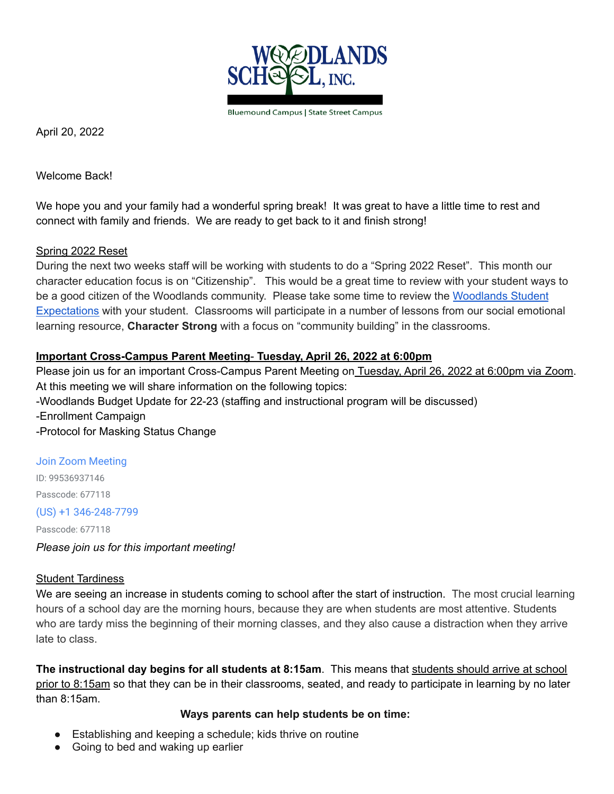

**Bluemound Campus | State Street Campus** 

April 20, 2022

Welcome Back!

We hope you and your family had a wonderful spring break! It was great to have a little time to rest and connect with family and friends. We are ready to get back to it and finish strong!

# Spring 2022 Reset

During the next two weeks staff will be working with students to do a "Spring 2022 Reset". This month our character education focus is on "Citizenship". This would be a great time to review with your student ways to be a good citizen of the [Woodlands](https://docs.google.com/document/d/1kzf3EIae0pUZ3i3XzR84wg--KqweiyciAztqJaz8Tks/edit?usp=sharing) community. Please take some time to review the Woodlands Student [Expectations](https://docs.google.com/document/d/1kzf3EIae0pUZ3i3XzR84wg--KqweiyciAztqJaz8Tks/edit?usp=sharing) with your student. Classrooms will participate in a number of lessons from our social emotional learning resource, **Character Strong** with a focus on "community building" in the classrooms.

# **Important Cross-Campus Parent Meeting**- **Tuesday, April 26, 2022 at 6:00pm**

Please join us for an important Cross-Campus Parent Meeting on Tuesday, April 26, 2022 at 6:00pm via Zoom. At this meeting we will share information on the following topics: -Woodlands Budget Update for 22-23 (staffing and instructional program will be discussed) -Enrollment Campaign -Protocol for Masking Status Change

## [Join Zoom Meeting](https://zoom.us/j/99536937146?pwd=SlRCNTZlKzNQVUo1U2dtMGRBNjVBdz09)

ID: 99536937146 Passcode: 677118

# (US) +1 346-248-7799

Passcode: 677118

*Please join us for this important meeting!*

## Student Tardiness

We are seeing an increase in students coming to school after the start of instruction. The most crucial learning hours of a school day are the morning hours, because they are when students are most attentive. Students who are tardy miss the beginning of their morning classes, and they also cause a distraction when they arrive late to class.

**The instructional day begins for all students at 8:15am**. This means that students should arrive at school prior to 8:15am so that they can be in their classrooms, seated, and ready to participate in learning by no later than 8:15am.

## **Ways parents can help students be on time:**

- Establishing and keeping a schedule; kids thrive on routine
- Going to bed and waking up earlier